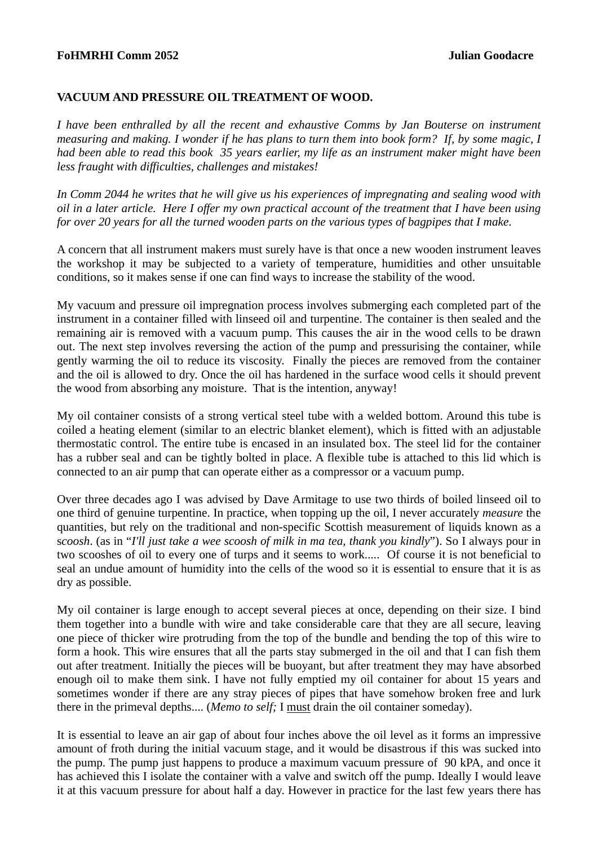## **FoHMRHI Comm 2052 Julian Goodacre**

## **VACUUM AND PRESSURE OIL TREATMENT OF WOOD.**

*I have been enthralled by all the recent and exhaustive Comms by Jan Bouterse on instrument measuring and making. I wonder if he has plans to turn them into book form? If, by some magic, I had been able to read this book 35 years earlier, my life as an instrument maker might have been less fraught with difficulties, challenges and mistakes!* 

*In Comm 2044 he writes that he will give us his experiences of impregnating and sealing wood with oil in a later article. Here I offer my own practical account of the treatment that I have been using for over 20 years for all the turned wooden parts on the various types of bagpipes that I make.* 

A concern that all instrument makers must surely have is that once a new wooden instrument leaves the workshop it may be subjected to a variety of temperature, humidities and other unsuitable conditions, so it makes sense if one can find ways to increase the stability of the wood.

My vacuum and pressure oil impregnation process involves submerging each completed part of the instrument in a container filled with linseed oil and turpentine. The container is then sealed and the remaining air is removed with a vacuum pump. This causes the air in the wood cells to be drawn out. The next step involves reversing the action of the pump and pressurising the container, while gently warming the oil to reduce its viscosity. Finally the pieces are removed from the container and the oil is allowed to dry. Once the oil has hardened in the surface wood cells it should prevent the wood from absorbing any moisture. That is the intention, anyway!

My oil container consists of a strong vertical steel tube with a welded bottom. Around this tube is coiled a heating element (similar to an electric blanket element), which is fitted with an adjustable thermostatic control. The entire tube is encased in an insulated box. The steel lid for the container has a rubber seal and can be tightly bolted in place. A flexible tube is attached to this lid which is connected to an air pump that can operate either as a compressor or a vacuum pump.

Over three decades ago I was advised by Dave Armitage to use two thirds of boiled linseed oil to one third of genuine turpentine. In practice, when topping up the oil, I never accurately *measure* the quantities, but rely on the traditional and non-specific Scottish measurement of liquids known as a s*coosh*. (as in "*I'll just take a wee scoosh of milk in ma tea, thank you kindly*"). So I always pour in two scooshes of oil to every one of turps and it seems to work..... Of course it is not beneficial to seal an undue amount of humidity into the cells of the wood so it is essential to ensure that it is as dry as possible.

My oil container is large enough to accept several pieces at once, depending on their size. I bind them together into a bundle with wire and take considerable care that they are all secure, leaving one piece of thicker wire protruding from the top of the bundle and bending the top of this wire to form a hook. This wire ensures that all the parts stay submerged in the oil and that I can fish them out after treatment. Initially the pieces will be buoyant, but after treatment they may have absorbed enough oil to make them sink. I have not fully emptied my oil container for about 15 years and sometimes wonder if there are any stray pieces of pipes that have somehow broken free and lurk there in the primeval depths.... (*Memo to self;* I must drain the oil container someday).

It is essential to leave an air gap of about four inches above the oil level as it forms an impressive amount of froth during the initial vacuum stage, and it would be disastrous if this was sucked into the pump. The pump just happens to produce a maximum vacuum pressure of 90 kPA, and once it has achieved this I isolate the container with a valve and switch off the pump. Ideally I would leave it at this vacuum pressure for about half a day. However in practice for the last few years there has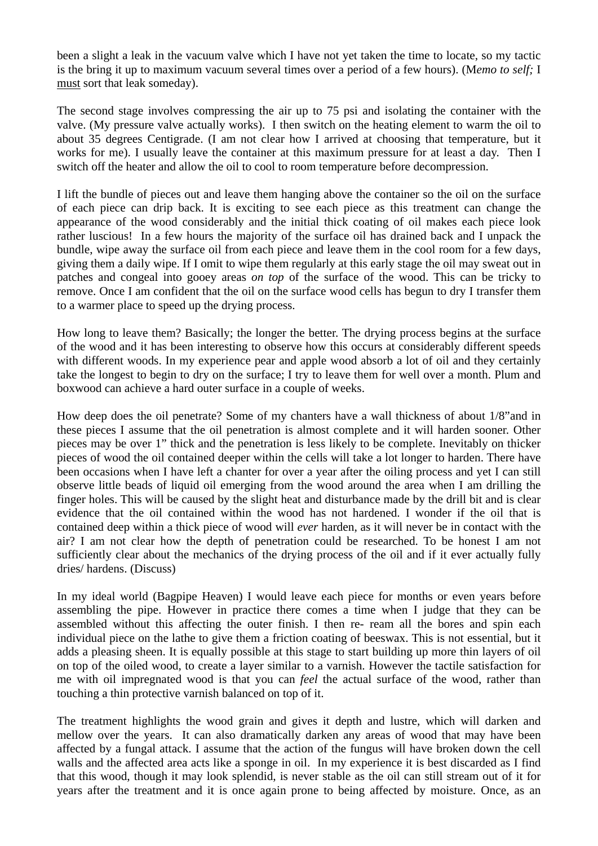been a slight a leak in the vacuum valve which I have not yet taken the time to locate, so my tactic is the bring it up to maximum vacuum several times over a period of a few hours). (M*emo to self;* I must sort that leak someday).

The second stage involves compressing the air up to 75 psi and isolating the container with the valve. (My pressure valve actually works). I then switch on the heating element to warm the oil to about 35 degrees Centigrade. (I am not clear how I arrived at choosing that temperature, but it works for me). I usually leave the container at this maximum pressure for at least a day. Then I switch off the heater and allow the oil to cool to room temperature before decompression.

I lift the bundle of pieces out and leave them hanging above the container so the oil on the surface of each piece can drip back. It is exciting to see each piece as this treatment can change the appearance of the wood considerably and the initial thick coating of oil makes each piece look rather luscious! In a few hours the majority of the surface oil has drained back and I unpack the bundle, wipe away the surface oil from each piece and leave them in the cool room for a few days, giving them a daily wipe. If I omit to wipe them regularly at this early stage the oil may sweat out in patches and congeal into gooey areas *on top* of the surface of the wood. This can be tricky to remove. Once I am confident that the oil on the surface wood cells has begun to dry I transfer them to a warmer place to speed up the drying process.

How long to leave them? Basically; the longer the better. The drying process begins at the surface of the wood and it has been interesting to observe how this occurs at considerably different speeds with different woods. In my experience pear and apple wood absorb a lot of oil and they certainly take the longest to begin to dry on the surface; I try to leave them for well over a month. Plum and boxwood can achieve a hard outer surface in a couple of weeks.

How deep does the oil penetrate? Some of my chanters have a wall thickness of about 1/8"and in these pieces I assume that the oil penetration is almost complete and it will harden sooner. Other pieces may be over 1" thick and the penetration is less likely to be complete. Inevitably on thicker pieces of wood the oil contained deeper within the cells will take a lot longer to harden. There have been occasions when I have left a chanter for over a year after the oiling process and yet I can still observe little beads of liquid oil emerging from the wood around the area when I am drilling the finger holes. This will be caused by the slight heat and disturbance made by the drill bit and is clear evidence that the oil contained within the wood has not hardened. I wonder if the oil that is contained deep within a thick piece of wood will *ever* harden, as it will never be in contact with the air? I am not clear how the depth of penetration could be researched. To be honest I am not sufficiently clear about the mechanics of the drying process of the oil and if it ever actually fully dries/ hardens. (Discuss)

In my ideal world (Bagpipe Heaven) I would leave each piece for months or even years before assembling the pipe. However in practice there comes a time when I judge that they can be assembled without this affecting the outer finish. I then re- ream all the bores and spin each individual piece on the lathe to give them a friction coating of beeswax. This is not essential, but it adds a pleasing sheen. It is equally possible at this stage to start building up more thin layers of oil on top of the oiled wood, to create a layer similar to a varnish. However the tactile satisfaction for me with oil impregnated wood is that you can *feel* the actual surface of the wood, rather than touching a thin protective varnish balanced on top of it.

The treatment highlights the wood grain and gives it depth and lustre, which will darken and mellow over the years. It can also dramatically darken any areas of wood that may have been affected by a fungal attack. I assume that the action of the fungus will have broken down the cell walls and the affected area acts like a sponge in oil. In my experience it is best discarded as I find that this wood, though it may look splendid, is never stable as the oil can still stream out of it for years after the treatment and it is once again prone to being affected by moisture. Once, as an